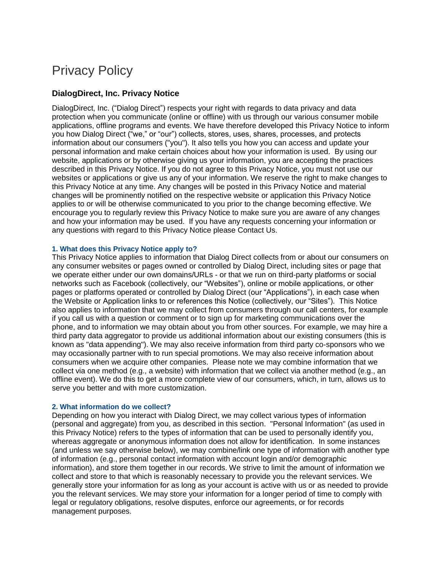# Privacy Policy

# **DialogDirect, Inc. Privacy Notice**

DialogDirect, Inc. ("Dialog Direct") respects your right with regards to data privacy and data protection when you communicate (online or offline) with us through our various consumer mobile applications, offline programs and events. We have therefore developed this Privacy Notice to inform you how Dialog Direct ("we," or "our") collects, stores, uses, shares, processes, and protects information about our consumers ("you"). It also tells you how you can access and update your personal information and make certain choices about how your information is used. By using our website, applications or by otherwise giving us your information, you are accepting the practices described in this Privacy Notice. If you do not agree to this Privacy Notice, you must not use our websites or applications or give us any of your information. We reserve the right to make changes to this Privacy Notice at any time. Any changes will be posted in this Privacy Notice and material changes will be prominently notified on the respective website or application this Privacy Notice applies to or will be otherwise communicated to you prior to the change becoming effective. We encourage you to regularly review this Privacy Notice to make sure you are aware of any changes and how your information may be used. If you have any requests concerning your information or any questions with regard to this Privacy Notice please Contact Us.

### **1. What does this Privacy Notice apply to?**

This Privacy Notice applies to information that Dialog Direct collects from or about our consumers on any consumer websites or pages owned or controlled by Dialog Direct, including sites or page that we operate either under our own domains/URLs - or that we run on third-party platforms or social networks such as Facebook (collectively, our "Websites"), online or mobile applications, or other pages or platforms operated or controlled by Dialog Direct (our "Applications"), in each case when the Website or Application links to or references this Notice (collectively, our "Sites"). This Notice also applies to information that we may collect from consumers through our call centers, for example if you call us with a question or comment or to sign up for marketing communications over the phone, and to information we may obtain about you from other sources. For example, we may hire a third party data aggregator to provide us additional information about our existing consumers (this is known as "data appending"). We may also receive information from third party co-sponsors who we may occasionally partner with to run special promotions. We may also receive information about consumers when we acquire other companies. Please note we may combine information that we collect via one method (e.g., a website) with information that we collect via another method (e.g., an offline event). We do this to get a more complete view of our consumers, which, in turn, allows us to serve you better and with more customization.

## **2. What information do we collect?**

Depending on how you interact with Dialog Direct, we may collect various types of information (personal and aggregate) from you, as described in this section. "Personal Information" (as used in this Privacy Notice) refers to the types of information that can be used to personally identify you, whereas aggregate or anonymous information does not allow for identification. In some instances (and unless we say otherwise below), we may combine/link one type of information with another type of information (e.g., personal contact information with account login and/or demographic information), and store them together in our records. We strive to limit the amount of information we collect and store to that which is reasonably necessary to provide you the relevant services. We generally store your information for as long as your account is active with us or as needed to provide you the relevant services. We may store your information for a longer period of time to comply with legal or regulatory obligations, resolve disputes, enforce our agreements, or for records management purposes.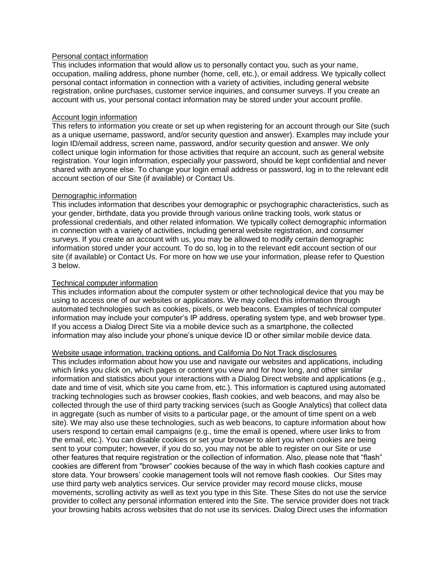## Personal contact information

This includes information that would allow us to personally contact you, such as your name, occupation, mailing address, phone number (home, cell, etc.), or email address. We typically collect personal contact information in connection with a variety of activities, including general website registration, online purchases, customer service inquiries, and consumer surveys. If you create an account with us, your personal contact information may be stored under your account profile.

### Account login information

This refers to information you create or set up when registering for an account through our Site (such as a unique username, password, and/or security question and answer). Examples may include your login ID/email address, screen name, password, and/or security question and answer. We only collect unique login information for those activities that require an account, such as general website registration. Your login information, especially your password, should be kept confidential and never shared with anyone else. To change your login email address or password, log in to the relevant edit account section of our Site (if available) or Contact Us.

### Demographic information

This includes information that describes your demographic or psychographic characteristics, such as your gender, birthdate, data you provide through various online tracking tools, work status or professional credentials, and other related information. We typically collect demographic information in connection with a variety of activities, including general website registration, and consumer surveys. If you create an account with us, you may be allowed to modify certain demographic information stored under your account. To do so, log in to the relevant edit account section of our site (if available) or Contact Us. For more on how we use your information, please refer to Question 3 below.

## Technical computer information

This includes information about the computer system or other technological device that you may be using to access one of our websites or applications. We may collect this information through automated technologies such as cookies, pixels, or web beacons. Examples of technical computer information may include your computer's IP address, operating system type, and web browser type. If you access a Dialog Direct Site via a mobile device such as a smartphone, the collected information may also include your phone's unique device ID or other similar mobile device data.

## Website usage information, tracking options, and California Do Not Track disclosures

This includes information about how you use and navigate our websites and applications, including which links you click on, which pages or content you view and for how long, and other similar information and statistics about your interactions with a Dialog Direct website and applications (e.g., date and time of visit, which site you came from, etc.). This information is captured using automated tracking technologies such as browser cookies, flash cookies, and web beacons, and may also be collected through the use of third party tracking services (such as Google Analytics) that collect data in aggregate (such as number of visits to a particular page, or the amount of time spent on a web site). We may also use these technologies, such as web beacons, to capture information about how users respond to certain email campaigns (e.g., time the email is opened, where user links to from the email, etc.). You can disable cookies or set your browser to alert you when cookies are being sent to your computer; however, if you do so, you may not be able to register on our Site or use other features that require registration or the collection of information. Also, please note that "flash" cookies are different from "browser" cookies because of the way in which flash cookies capture and store data. Your browsers' cookie management tools will not remove flash cookies. Our Sites may use third party web analytics services. Our service provider may record mouse clicks, mouse movements, scrolling activity as well as text you type in this Site. These Sites do not use the service provider to collect any personal information entered into the Site. The service provider does not track your browsing habits across websites that do not use its services. Dialog Direct uses the information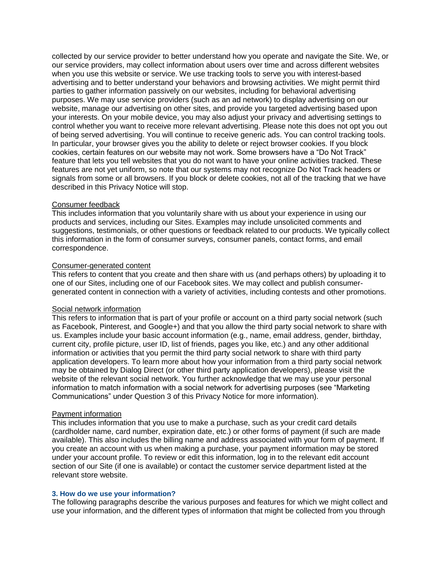collected by our service provider to better understand how you operate and navigate the Site. We, or our service providers, may collect information about users over time and across different websites when you use this website or service. We use tracking tools to serve you with interest-based advertising and to better understand your behaviors and browsing activities. We might permit third parties to gather information passively on our websites, including for behavioral advertising purposes. We may use service providers (such as an ad network) to display advertising on our website, manage our advertising on other sites, and provide you targeted advertising based upon your interests. On your mobile device, you may also adjust your privacy and advertising settings to control whether you want to receive more relevant advertising. Please note this does not opt you out of being served advertising. You will continue to receive generic ads. You can control tracking tools. In particular, your browser gives you the ability to delete or reject browser cookies. If you block cookies, certain features on our website may not work. Some browsers have a "Do Not Track" feature that lets you tell websites that you do not want to have your online activities tracked. These features are not yet uniform, so note that our systems may not recognize Do Not Track headers or signals from some or all browsers. If you block or delete cookies, not all of the tracking that we have described in this Privacy Notice will stop.

## Consumer feedback

This includes information that you voluntarily share with us about your experience in using our products and services, including our Sites. Examples may include unsolicited comments and suggestions, testimonials, or other questions or feedback related to our products. We typically collect this information in the form of consumer surveys, consumer panels, contact forms, and email correspondence.

#### Consumer-generated content

This refers to content that you create and then share with us (and perhaps others) by uploading it to one of our Sites, including one of our Facebook sites. We may collect and publish consumergenerated content in connection with a variety of activities, including contests and other promotions.

## Social network information

This refers to information that is part of your profile or account on a third party social network (such as Facebook, Pinterest, and Google+) and that you allow the third party social network to share with us. Examples include your basic account information (e.g., name, email address, gender, birthday, current city, profile picture, user ID, list of friends, pages you like, etc.) and any other additional information or activities that you permit the third party social network to share with third party application developers. To learn more about how your information from a third party social network may be obtained by Dialog Direct (or other third party application developers), please visit the website of the relevant social network. You further acknowledge that we may use your personal information to match information with a social network for advertising purposes (see "Marketing Communications" under Question 3 of this Privacy Notice for more information).

#### Payment information

This includes information that you use to make a purchase, such as your credit card details (cardholder name, card number, expiration date, etc.) or other forms of payment (if such are made available). This also includes the billing name and address associated with your form of payment. If you create an account with us when making a purchase, your payment information may be stored under your account profile. To review or edit this information, log in to the relevant edit account section of our Site (if one is available) or contact the customer service department listed at the relevant store website.

#### **3. How do we use your information?**

The following paragraphs describe the various purposes and features for which we might collect and use your information, and the different types of information that might be collected from you through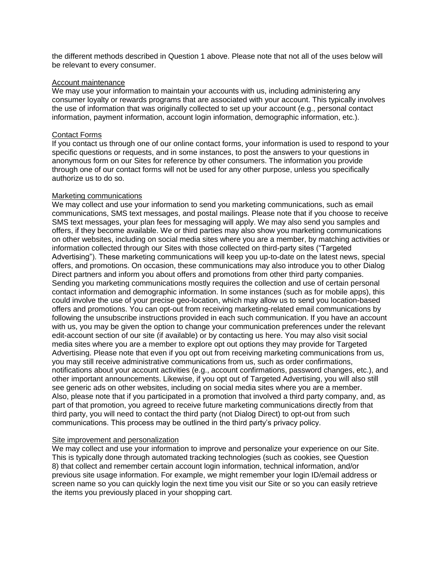the different methods described in Question 1 above. Please note that not all of the uses below will be relevant to every consumer.

#### Account maintenance

We may use your information to maintain your accounts with us, including administering any consumer loyalty or rewards programs that are associated with your account. This typically involves the use of information that was originally collected to set up your account (e.g., personal contact information, payment information, account login information, demographic information, etc.).

### Contact Forms

If you contact us through one of our online contact forms, your information is used to respond to your specific questions or requests, and in some instances, to post the answers to your questions in anonymous form on our Sites for reference by other consumers. The information you provide through one of our contact forms will not be used for any other purpose, unless you specifically authorize us to do so.

### Marketing communications

We may collect and use your information to send you marketing communications, such as email communications, SMS text messages, and postal mailings. Please note that if you choose to receive SMS text messages, your plan fees for messaging will apply. We may also send you samples and offers, if they become available. We or third parties may also show you marketing communications on other websites, including on social media sites where you are a member, by matching activities or information collected through our Sites with those collected on third-party sites ("Targeted Advertising"). These marketing communications will keep you up-to-date on the latest news, special offers, and promotions. On occasion, these communications may also introduce you to other Dialog Direct partners and inform you about offers and promotions from other third party companies. Sending you marketing communications mostly requires the collection and use of certain personal contact information and demographic information. In some instances (such as for mobile apps), this could involve the use of your precise geo-location, which may allow us to send you location-based offers and promotions. You can opt-out from receiving marketing-related email communications by following the unsubscribe instructions provided in each such communication. If you have an account with us, you may be given the option to change your communication preferences under the relevant edit-account section of our site (if available) or by contacting us here. You may also visit social media sites where you are a member to explore opt out options they may provide for Targeted Advertising. Please note that even if you opt out from receiving marketing communications from us, you may still receive administrative communications from us, such as order confirmations, notifications about your account activities (e.g., account confirmations, password changes, etc.), and other important announcements. Likewise, if you opt out of Targeted Advertising, you will also still see generic ads on other websites, including on social media sites where you are a member. Also, please note that if you participated in a promotion that involved a third party company, and, as part of that promotion, you agreed to receive future marketing communications directly from that third party, you will need to contact the third party (not Dialog Direct) to opt-out from such communications. This process may be outlined in the third party's privacy policy.

#### Site improvement and personalization

We may collect and use your information to improve and personalize your experience on our Site. This is typically done through automated tracking technologies (such as cookies, see Question 8) that collect and remember certain account login information, technical information, and/or previous site usage information. For example, we might remember your login ID/email address or screen name so you can quickly login the next time you visit our Site or so you can easily retrieve the items you previously placed in your shopping cart.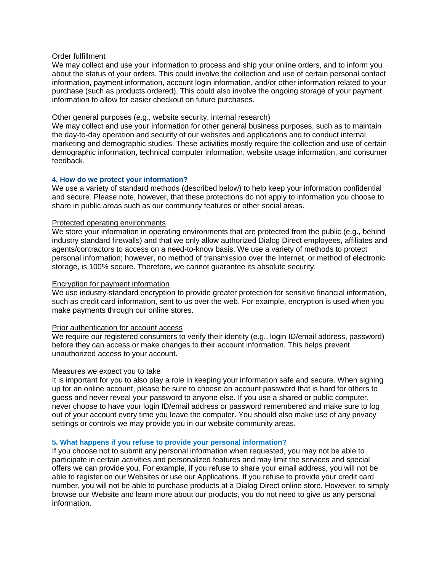### Order fulfillment

We may collect and use your information to process and ship your online orders, and to inform you about the status of your orders. This could involve the collection and use of certain personal contact information, payment information, account login information, and/or other information related to your purchase (such as products ordered). This could also involve the ongoing storage of your payment information to allow for easier checkout on future purchases.

#### Other general purposes (e.g., website security, internal research)

We may collect and use your information for other general business purposes, such as to maintain the day-to-day operation and security of our websites and applications and to conduct internal marketing and demographic studies. These activities mostly require the collection and use of certain demographic information, technical computer information, website usage information, and consumer feedback.

### **4. How do we protect your information?**

We use a variety of standard methods (described below) to help keep your information confidential and secure. Please note, however, that these protections do not apply to information you choose to share in public areas such as our community features or other social areas.

### Protected operating environments

We store your information in operating environments that are protected from the public (e.g., behind industry standard firewalls) and that we only allow authorized Dialog Direct employees, affiliates and agents/contractors to access on a need-to-know basis. We use a variety of methods to protect personal information; however, no method of transmission over the Internet, or method of electronic storage, is 100% secure. Therefore, we cannot guarantee its absolute security.

### Encryption for payment information

We use industry-standard encryption to provide greater protection for sensitive financial information, such as credit card information, sent to us over the web. For example, encryption is used when you make payments through our online stores.

#### Prior authentication for account access

We require our registered consumers to verify their identity (e.g., login ID/email address, password) before they can access or make changes to their account information. This helps prevent unauthorized access to your account.

#### Measures we expect you to take

It is important for you to also play a role in keeping your information safe and secure. When signing up for an online account, please be sure to choose an account password that is hard for others to guess and never reveal your password to anyone else. If you use a shared or public computer, never choose to have your login ID/email address or password remembered and make sure to log out of your account every time you leave the computer. You should also make use of any privacy settings or controls we may provide you in our website community areas.

## **5. What happens if you refuse to provide your personal information?**

If you choose not to submit any personal information when requested, you may not be able to participate in certain activities and personalized features and may limit the services and special offers we can provide you. For example, if you refuse to share your email address, you will not be able to register on our Websites or use our Applications. If you refuse to provide your credit card number, you will not be able to purchase products at a Dialog Direct online store. However, to simply browse our Website and learn more about our products, you do not need to give us any personal information.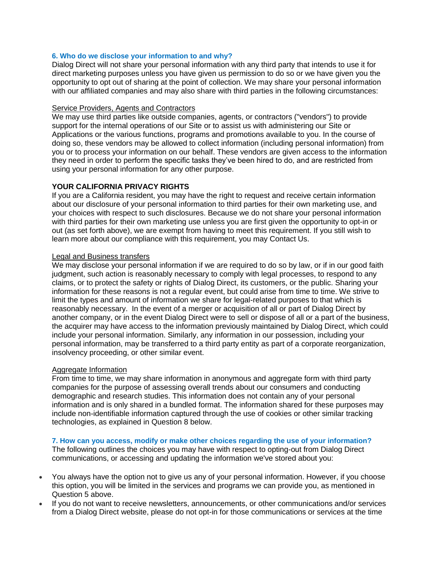## **6. Who do we disclose your information to and why?**

Dialog Direct will not share your personal information with any third party that intends to use it for direct marketing purposes unless you have given us permission to do so or we have given you the opportunity to opt out of sharing at the point of collection. We may share your personal information with our affiliated companies and may also share with third parties in the following circumstances:

#### Service Providers, Agents and Contractors

We may use third parties like outside companies, agents, or contractors ("vendors") to provide support for the internal operations of our Site or to assist us with administering our Site or Applications or the various functions, programs and promotions available to you. In the course of doing so, these vendors may be allowed to collect information (including personal information) from you or to process your information on our behalf. These vendors are given access to the information they need in order to perform the specific tasks they've been hired to do, and are restricted from using your personal information for any other purpose.

## **YOUR CALIFORNIA PRIVACY RIGHTS**

If you are a California resident, you may have the right to request and receive certain information about our disclosure of your personal information to third parties for their own marketing use, and your choices with respect to such disclosures. Because we do not share your personal information with third parties for their own marketing use unless you are first given the opportunity to opt-in or out (as set forth above), we are exempt from having to meet this requirement. If you still wish to learn more about our compliance with this requirement, you may Contact Us.

### Legal and Business transfers

We may disclose your personal information if we are required to do so by law, or if in our good faith judgment, such action is reasonably necessary to comply with legal processes, to respond to any claims, or to protect the safety or rights of Dialog Direct, its customers, or the public. Sharing your information for these reasons is not a regular event, but could arise from time to time. We strive to limit the types and amount of information we share for legal-related purposes to that which is reasonably necessary. In the event of a merger or acquisition of all or part of Dialog Direct by another company, or in the event Dialog Direct were to sell or dispose of all or a part of the business, the acquirer may have access to the information previously maintained by Dialog Direct, which could include your personal information. Similarly, any information in our possession, including your personal information, may be transferred to a third party entity as part of a corporate reorganization, insolvency proceeding, or other similar event.

### Aggregate Information

From time to time, we may share information in anonymous and aggregate form with third party companies for the purpose of assessing overall trends about our consumers and conducting demographic and research studies. This information does not contain any of your personal information and is only shared in a bundled format. The information shared for these purposes may include non-identifiable information captured through the use of cookies or other similar tracking technologies, as explained in Question 8 below.

#### **7. How can you access, modify or make other choices regarding the use of your information?**

The following outlines the choices you may have with respect to opting-out from Dialog Direct communications, or accessing and updating the information we've stored about you:

- You always have the option not to give us any of your personal information. However, if you choose this option, you will be limited in the services and programs we can provide you, as mentioned in Question 5 above.
- If you do not want to receive newsletters, announcements, or other communications and/or services from a Dialog Direct website, please do not opt-in for those communications or services at the time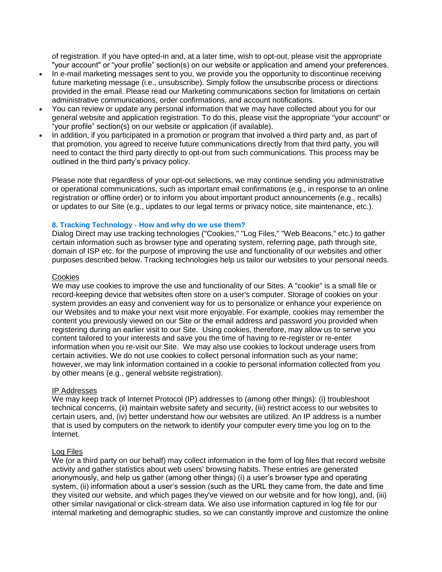of registration. If you have opted-in and, at a later time, wish to opt-out, please visit the appropriate "your account" or "your profile" section(s) on our website or application and amend your preferences.

- In e-mail marketing messages sent to you, we provide you the opportunity to discontinue receiving future marketing message (i.e., unsubscribe). Simply follow the unsubscribe process or directions provided in the email. Please read our Marketing communications section for limitations on certain administrative communications, order confirmations, and account notifications.
- You can review or update any personal information that we may have collected about you for our general website and application registration. To do this, please visit the appropriate "your account" or "your profile" section(s) on our website or application (if available).
- In addition, if you participated in a promotion or program that involved a third party and, as part of that promotion, you agreed to receive future communications directly from that third party, you will need to contact the third party directly to opt-out from such communications. This process may be outlined in the third party's privacy policy.

Please note that regardless of your opt-out selections, we may continue sending you administrative or operational communications, such as important email confirmations (e.g., in response to an online registration or offline order) or to inform you about important product announcements (e.g., recalls) or updates to our Site (e.g., updates to our legal terms or privacy notice, site maintenance, etc.).

### **8. Tracking Technology - How and why do we use them?**

Dialog Direct may use tracking technologies ("Cookies," "Log Files," "Web Beacons," etc.) to gather certain information such as browser type and operating system, referring page, path through site, domain of ISP etc. for the purpose of improving the use and functionality of our websites and other purposes described below. Tracking technologies help us tailor our websites to your personal needs.

#### **Cookies**

We may use cookies to improve the use and functionality of our Sites. A "cookie" is a small file or record-keeping device that websites often store on a user's computer. Storage of cookies on your system provides an easy and convenient way for us to personalize or enhance your experience on our Websites and to make your next visit more enjoyable. For example, cookies may remember the content you previously viewed on our Site or the email address and password you provided when registering during an earlier visit to our Site. Using cookies, therefore, may allow us to serve you content tailored to your interests and save you the time of having to re-register or re-enter information when you re-visit our Site. We may also use cookies to lockout underage users from certain activities. We do not use cookies to collect personal information such as your name; however, we may link information contained in a cookie to personal information collected from you by other means (e.g., general website registration).

## IP Addresses

We may keep track of Internet Protocol (IP) addresses to (among other things): (i) troubleshoot technical concerns, (ii) maintain website safety and security, (iii) restrict access to our websites to certain users, and, (iv) better understand how our websites are utilized. An IP address is a number that is used by computers on the network to identify your computer every time you log on to the Internet.

## Log Files

We (or a third party on our behalf) may collect information in the form of log files that record website activity and gather statistics about web users' browsing habits. These entries are generated anonymously, and help us gather (among other things) (i) a user's browser type and operating system, (ii) information about a user's session (such as the URL they came from, the date and time they visited our website, and which pages they've viewed on our website and for how long), and, (iii) other similar navigational or click-stream data. We also use information captured in log file for our internal marketing and demographic studies, so we can constantly improve and customize the online